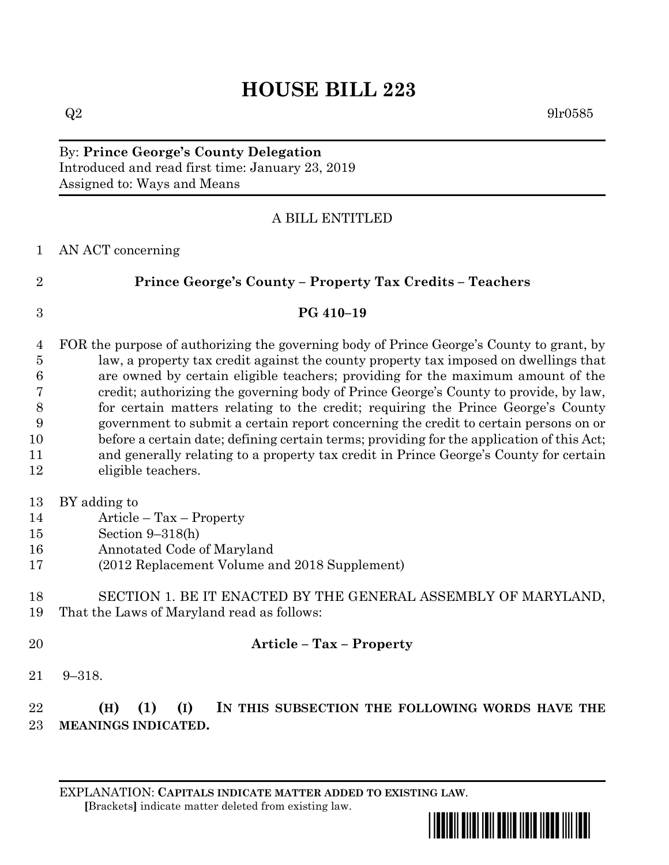# **HOUSE BILL 223**

 $Q2 \hspace{2.2cm} 9\text{l}r0585$ 

By: **Prince George's County Delegation** Introduced and read first time: January 23, 2019 Assigned to: Ways and Means

### A BILL ENTITLED

#### AN ACT concerning

**Prince George's County – Property Tax Credits – Teachers**

## **PG 410–19**

 FOR the purpose of authorizing the governing body of Prince George's County to grant, by law, a property tax credit against the county property tax imposed on dwellings that are owned by certain eligible teachers; providing for the maximum amount of the credit; authorizing the governing body of Prince George's County to provide, by law, for certain matters relating to the credit; requiring the Prince George's County government to submit a certain report concerning the credit to certain persons on or before a certain date; defining certain terms; providing for the application of this Act; and generally relating to a property tax credit in Prince George's County for certain eligible teachers.

- BY adding to
- Article Tax Property
- Section 9–318(h)
- Annotated Code of Maryland
- (2012 Replacement Volume and 2018 Supplement)

#### SECTION 1. BE IT ENACTED BY THE GENERAL ASSEMBLY OF MARYLAND, That the Laws of Maryland read as follows:

#### **Article – Tax – Property**

9–318.

### **(H) (1) (I) IN THIS SUBSECTION THE FOLLOWING WORDS HAVE THE MEANINGS INDICATED.**

EXPLANATION: **CAPITALS INDICATE MATTER ADDED TO EXISTING LAW**.  **[**Brackets**]** indicate matter deleted from existing law.

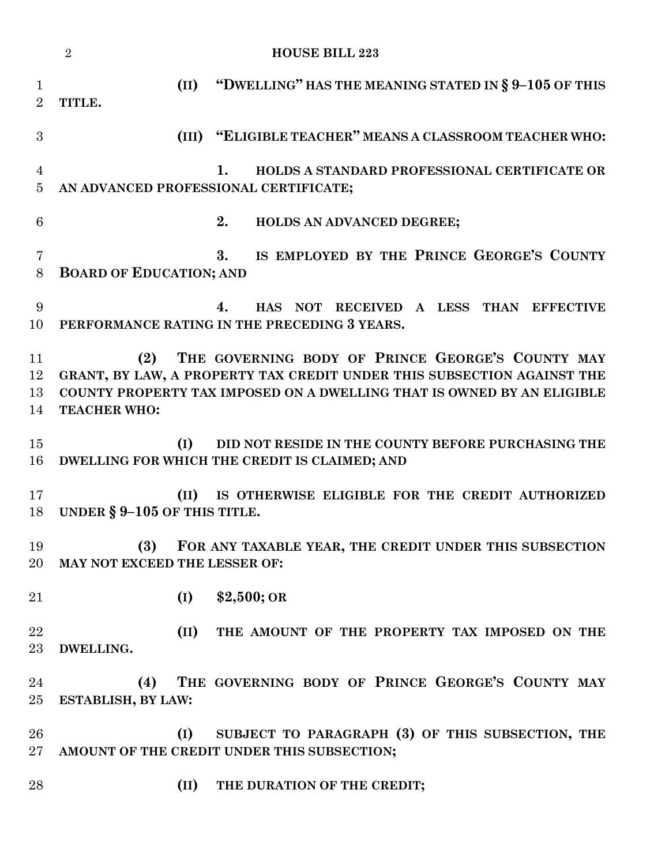|                                  | $\overline{2}$<br><b>HOUSE BILL 223</b>                                                                                                                                                                                            |
|----------------------------------|------------------------------------------------------------------------------------------------------------------------------------------------------------------------------------------------------------------------------------|
| $\mathbf 1$<br>$\overline{2}$    | "DWELLING" HAS THE MEANING STATED IN § 9-105 OF THIS<br>(II)<br>TITLE.                                                                                                                                                             |
| 3                                | (III) "ELIGIBLE TEACHER" MEANS A CLASSROOM TEACHER WHO:                                                                                                                                                                            |
| $\overline{4}$<br>$\overline{5}$ | 1.<br>HOLDS A STANDARD PROFESSIONAL CERTIFICATE OR<br>AN ADVANCED PROFESSIONAL CERTIFICATE;                                                                                                                                        |
| 6                                | 2.<br>HOLDS AN ADVANCED DEGREE;                                                                                                                                                                                                    |
| 7<br>8                           | IS EMPLOYED BY THE PRINCE GEORGE'S COUNTY<br>3.<br><b>BOARD OF EDUCATION; AND</b>                                                                                                                                                  |
| 9<br>10                          | HAS NOT RECEIVED A LESS THAN EFFECTIVE<br>4.<br>PERFORMANCE RATING IN THE PRECEDING 3 YEARS.                                                                                                                                       |
| 11<br>12<br>13<br>14             | THE GOVERNING BODY OF PRINCE GEORGE'S COUNTY MAY<br>(2)<br>GRANT, BY LAW, A PROPERTY TAX CREDIT UNDER THIS SUBSECTION AGAINST THE<br>COUNTY PROPERTY TAX IMPOSED ON A DWELLING THAT IS OWNED BY AN ELIGIBLE<br><b>TEACHER WHO:</b> |
| 15<br>16                         | (I)<br>DID NOT RESIDE IN THE COUNTY BEFORE PURCHASING THE<br>DWELLING FOR WHICH THE CREDIT IS CLAIMED; AND                                                                                                                         |
| 17<br>18                         | IS OTHERWISE ELIGIBLE FOR THE CREDIT AUTHORIZED<br>(II)<br>UNDER $\S 9-105$ OF THIS TITLE.                                                                                                                                         |
| 19<br>20                         | (3)<br>FOR ANY TAXABLE YEAR, THE CREDIT UNDER THIS SUBSECTION<br>MAY NOT EXCEED THE LESSER OF:                                                                                                                                     |
| 21                               | $$2,500;$ OR<br>(I)                                                                                                                                                                                                                |
| 22<br>$23\,$                     | (II)<br>THE AMOUNT OF THE PROPERTY TAX IMPOSED ON THE<br>DWELLING.                                                                                                                                                                 |
| 24<br>25                         | THE GOVERNING BODY OF PRINCE GEORGE'S COUNTY MAY<br>(4)<br>ESTABLISH, BY LAW:                                                                                                                                                      |
| 26<br>$27\,$                     | SUBJECT TO PARAGRAPH (3) OF THIS SUBSECTION, THE<br>(I)<br>AMOUNT OF THE CREDIT UNDER THIS SUBSECTION;                                                                                                                             |
| 28                               | (II)<br>THE DURATION OF THE CREDIT;                                                                                                                                                                                                |